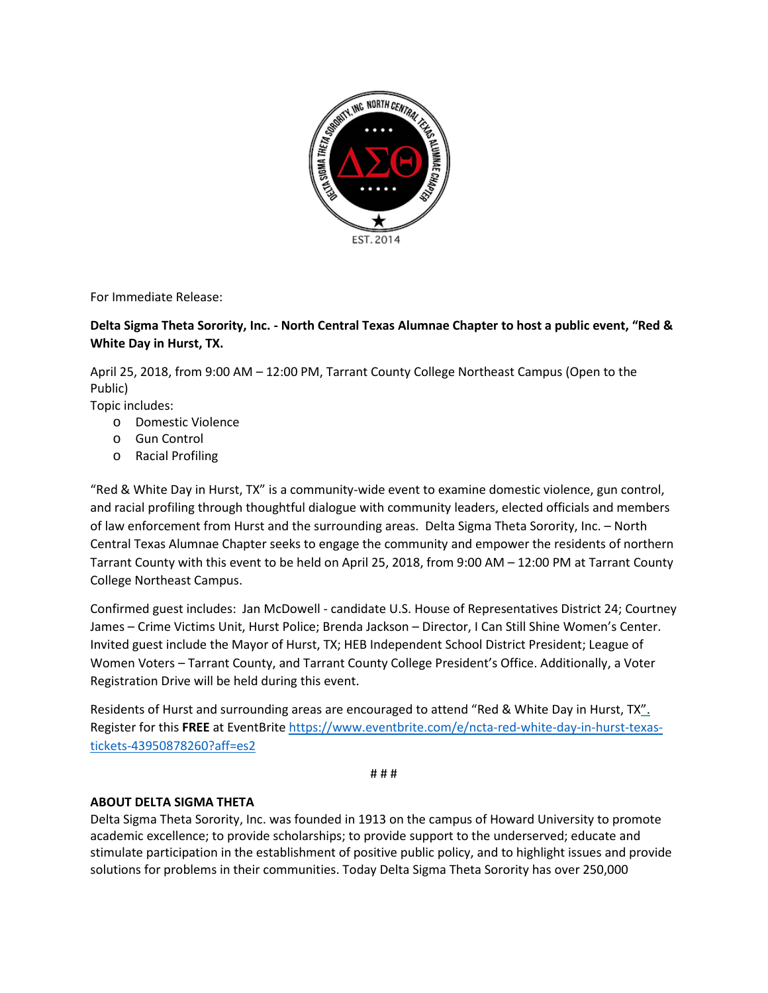

For Immediate Release:

## **Delta Sigma Theta Sorority, Inc. - North Central Texas Alumnae Chapter to host a public event, "Red & White Day in Hurst, TX.**

April 25, 2018, from 9:00 AM – 12:00 PM, Tarrant County College Northeast Campus (Open to the Public)

Topic includes:

- o Domestic Violence
- o Gun Control
- o Racial Profiling

"Red & White Day in Hurst, TX" is a community-wide event to examine domestic violence, gun control, and racial profiling through thoughtful dialogue with community leaders, elected officials and members of law enforcement from Hurst and the surrounding areas. Delta Sigma Theta Sorority, Inc. – North Central Texas Alumnae Chapter seeks to engage the community and empower the residents of northern Tarrant County with this event to be held on April 25, 2018, from 9:00 AM – 12:00 PM at Tarrant County College Northeast Campus.

Confirmed guest includes: Jan McDowell - candidate U.S. House of Representatives District 24; Courtney James – Crime Victims Unit, Hurst Police; Brenda Jackson – Director, I Can Still Shine Women's Center. Invited guest include the Mayor of Hurst, TX; HEB Independent School District President; League of Women Voters – Tarrant County, and Tarrant County College President's Office. Additionally, a Voter Registration Drive will be held during this event.

Residents of Hurst and surrounding areas are encouraged to attend "Red & White Day in Hurst, TX". Register for this **FREE** at EventBrite [https://www.eventbrite.com/e/ncta-red-white-day-in-hurst-texas](https://www.eventbrite.com/e/ncta-red-white-day-in-hurst-texas-tickets-43950878260?aff=es2)[tickets-43950878260?aff=es2](https://www.eventbrite.com/e/ncta-red-white-day-in-hurst-texas-tickets-43950878260?aff=es2)

# # #

## **ABOUT DELTA SIGMA THETA**

Delta Sigma Theta Sorority, Inc. was founded in 1913 on the campus of Howard University to promote academic excellence; to provide scholarships; to provide support to the underserved; educate and stimulate participation in the establishment of positive public policy, and to highlight issues and provide solutions for problems in their communities. Today Delta Sigma Theta Sorority has over 250,000